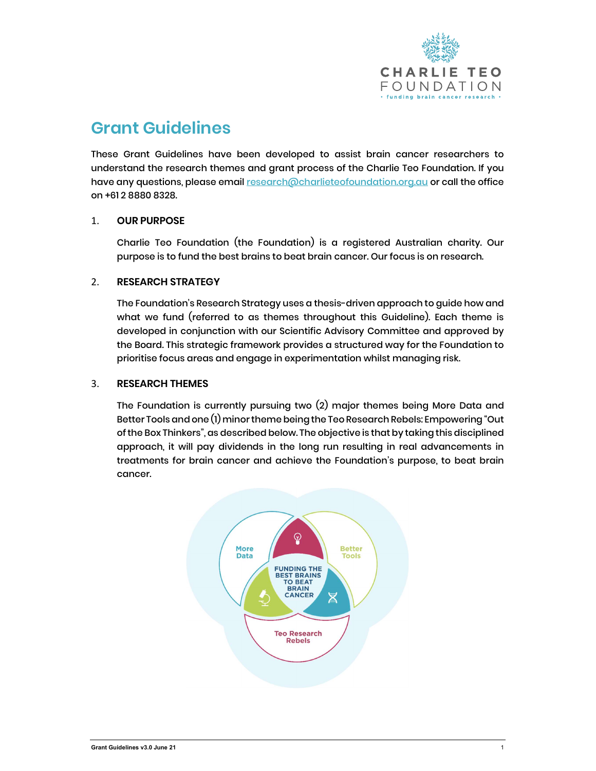

# Grant Guidelines

These Grant Guidelines have been developed to assist brain cancer researchers to understand the research themes and grant process of the Charlie Teo Foundation. If you have any questions, please email research@charlieteofoundation.org.au or call the office on +61 2 8880 8328.

## 1. OUR PURPOSE

Charlie Teo Foundation (the Foundation) is a registered Australian charity. Our purpose is to fund the best brains to beat brain cancer. Our focus is on research.

# 2. RESEARCH STRATEGY

The Foundation's Research Strategy uses a thesis-driven approach to guide how and what we fund (referred to as themes throughout this Guideline). Each theme is developed in conjunction with our Scientific Advisory Committee and approved by the Board. This strategic framework provides a structured way for the Foundation to prioritise focus areas and engage in experimentation whilst managing risk.

# 3. RESEARCH THEMES

The Foundation is currently pursuing two (2) major themes being More Data and Better Tools and one (1) minor theme being the Teo Research Rebels: Empowering "Out of the Box Thinkers", as described below. The objective is that by taking this disciplined approach, it will pay dividends in the long run resulting in real advancements in treatments for brain cancer and achieve the Foundation's purpose, to beat brain cancer.

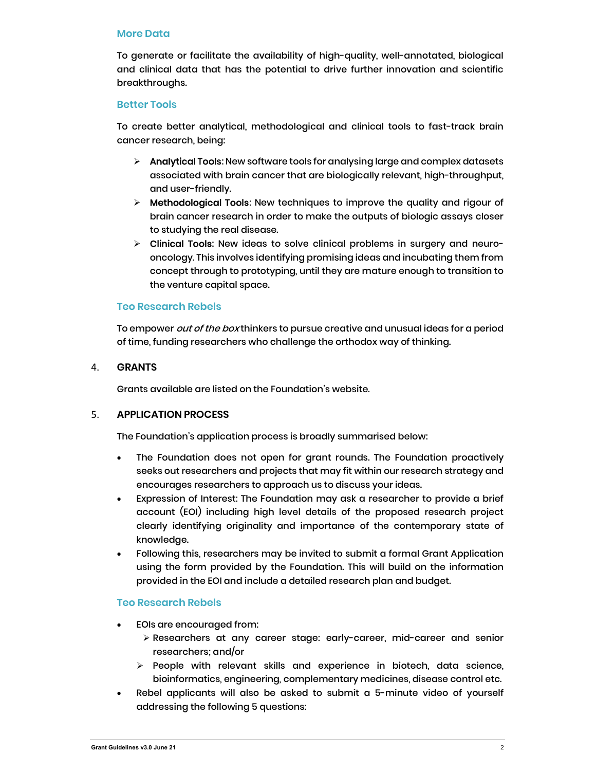#### More Data

To generate or facilitate the availability of high-quality, well-annotated, biological and clinical data that has the potential to drive further innovation and scientific breakthroughs.

#### Better Tools

To create better analytical, methodological and clinical tools to fast-track brain cancer research, being:

- $\triangleright$  Analytical Tools: New software tools for analysing large and complex datasets associated with brain cancer that are biologically relevant, high-throughput, and user-friendly.
- $\triangleright$  Methodological Tools: New techniques to improve the quality and rigour of brain cancer research in order to make the outputs of biologic assays closer to studying the real disease.
- $\triangleright$  Clinical Tools: New ideas to solve clinical problems in surgery and neurooncology. This involves identifying promising ideas and incubating them from concept through to prototyping, until they are mature enough to transition to the venture capital space.

#### Teo Research Rebels

To empower *out of the box* thinkers to pursue creative and unusual ideas for a period of time, funding researchers who challenge the orthodox way of thinking.

#### 4. GRANTS

Grants available are listed on the Foundation's website.

#### 5. APPLICATION PROCESS

The Foundation's application process is broadly summarised below:

- The Foundation does not open for grant rounds. The Foundation proactively seeks out researchers and projects that may fit within our research strategy and encourages researchers to approach us to discuss your ideas.
- Expression of Interest: The Foundation may ask a researcher to provide a brief account (EOI) including high level details of the proposed research project clearly identifying originality and importance of the contemporary state of knowledge.
- Following this, researchers may be invited to submit a formal Grant Application using the form provided by the Foundation. This will build on the information provided in the EOI and include a detailed research plan and budget.

### Teo Research Rebels

- EOIs are encouraged from:
	- Researchers at any career stage: early-career, mid-career and senior researchers; and/or
	- $\triangleright$  People with relevant skills and experience in biotech, data science, bioinformatics, engineering, complementary medicines, disease control etc.
- Rebel applicants will also be asked to submit a 5-minute video of yourself addressing the following 5 questions: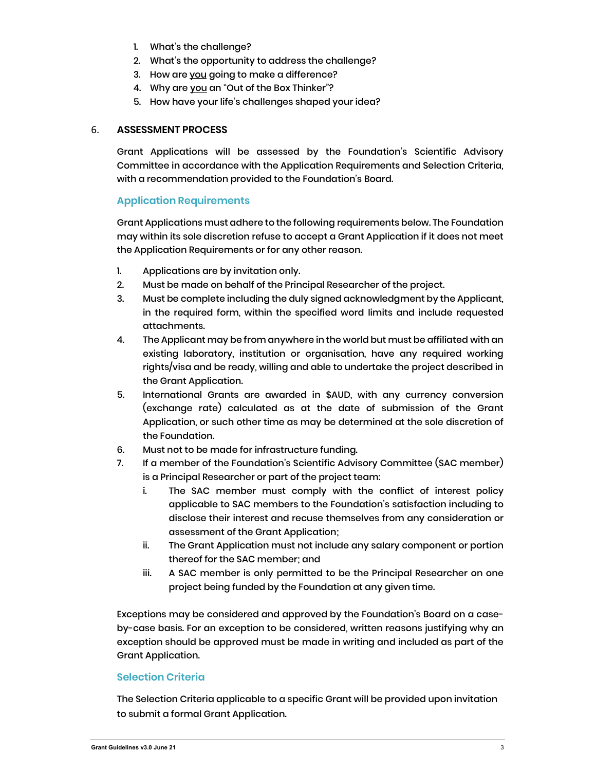- 1. What's the challenge?
- 2. What's the opportunity to address the challenge?
- 3. How are you going to make a difference?
- 4. Why are you an "Out of the Box Thinker"?
- 5. How have your life's challenges shaped your idea?

## 6. ASSESSMENT PROCESS

Grant Applications will be assessed by the Foundation's Scientific Advisory Committee in accordance with the Application Requirements and Selection Criteria, with a recommendation provided to the Foundation's Board.

# Application Requirements

Grant Applications must adhere to the following requirements below. The Foundation may within its sole discretion refuse to accept a Grant Application if it does not meet the Application Requirements or for any other reason.

- 1. Applications are by invitation only.
- 2. Must be made on behalf of the Principal Researcher of the project.
- 3. Must be complete including the duly signed acknowledgment by the Applicant, in the required form, within the specified word limits and include requested attachments.
- 4. The Applicant may be from anywhere in the world but must be affiliated with an existing laboratory, institution or organisation, have any required working rights/visa and be ready, willing and able to undertake the project described in the Grant Application.
- 5. International Grants are awarded in \$AUD, with any currency conversion (exchange rate) calculated as at the date of submission of the Grant Application, or such other time as may be determined at the sole discretion of the Foundation.
- 6. Must not to be made for infrastructure funding.
- 7. If a member of the Foundation's Scientific Advisory Committee (SAC member) is a Principal Researcher or part of the project team:
	- i. The SAC member must comply with the conflict of interest policy applicable to SAC members to the Foundation's satisfaction including to disclose their interest and recuse themselves from any consideration or assessment of the Grant Application;
	- ii. The Grant Application must not include any salary component or portion thereof for the SAC member; and
	- iii. A SAC member is only permitted to be the Principal Researcher on one project being funded by the Foundation at any given time.

Exceptions may be considered and approved by the Foundation's Board on a caseby-case basis. For an exception to be considered, written reasons justifying why an exception should be approved must be made in writing and included as part of the Grant Application.

# Selection Criteria

The Selection Criteria applicable to a specific Grant will be provided upon invitation to submit a formal Grant Application.